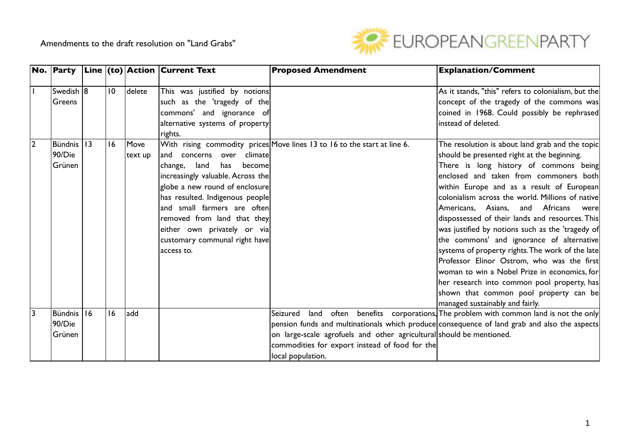

|                |             |                 |         | <b>No.</b> Party $\vert$ Line $\vert$ (to) Action Current Text | <b>Proposed Amendment</b>                                                                    | <b>Explanation/Comment</b>                                                |
|----------------|-------------|-----------------|---------|----------------------------------------------------------------|----------------------------------------------------------------------------------------------|---------------------------------------------------------------------------|
|                |             |                 |         |                                                                |                                                                                              |                                                                           |
|                | Swedish 18  | $\overline{10}$ | delete  | This was justified by notions                                  |                                                                                              | As it stands, "this" refers to colonialism, but the                       |
|                | Greens      |                 |         | such as the 'tragedy of the                                    |                                                                                              | concept of the tragedy of the commons was                                 |
|                |             |                 |         | commons' and ignorance of                                      |                                                                                              | coined in 1968. Could possibly be rephrased                               |
|                |             |                 |         | alternative systems of property                                |                                                                                              | instead of deleted.                                                       |
|                |             |                 |         | rights.                                                        |                                                                                              |                                                                           |
| $\overline{2}$ | Bündnis 113 | 16              | Move    |                                                                | With rising commodity prices Move lines 13 to 16 to the start at line 6.                     | The resolution is about land grab and the topic                           |
|                | 90/Die      |                 | text up | and concerns<br>climate<br>over                                |                                                                                              | should be presented right at the beginning.                               |
|                | Grünen      |                 |         | change, land<br>has<br>becomel                                 |                                                                                              | There is long history of commons being                                    |
|                |             |                 |         | increasingly valuable. Across the                              |                                                                                              | enclosed and taken from commoners both                                    |
|                |             |                 |         | globe a new round of enclosure                                 |                                                                                              | within Europe and as a result of European                                 |
|                |             |                 |         | has resulted. Indigenous people                                |                                                                                              | colonialism across the world. Millions of native                          |
|                |             |                 |         | and small farmers are often                                    |                                                                                              | Americans, Asians,<br>and Africans<br>were                                |
|                |             |                 |         | removed from land that they                                    |                                                                                              | dispossessed of their lands and resources. This                           |
|                |             |                 |         | $ \textsf{either own private} $ or $\textsf{via} \$            |                                                                                              | was justified by notions such as the 'tragedy of                          |
|                |             |                 |         | customary communal right have                                  |                                                                                              | the commons' and ignorance of alternative                                 |
|                |             |                 |         | laccess to.                                                    |                                                                                              | systems of property rights. The work of the late                          |
|                |             |                 |         |                                                                |                                                                                              | Professor Elinor Ostrom, who was the first                                |
|                |             |                 |         |                                                                |                                                                                              | woman to win a Nobel Prize in economics, for                              |
|                |             |                 |         |                                                                |                                                                                              | her research into common pool property, has                               |
|                |             |                 |         |                                                                |                                                                                              | shown that common pool property can be                                    |
|                |             |                 |         |                                                                |                                                                                              | managed sustainably and fairly.                                           |
| 3              | Bündnis 16  | 16              | ladd    |                                                                | Seizured<br>land                                                                             | often benefits corporations, The problem with common land is not the only |
|                | 90/Die      |                 |         |                                                                | pension funds and multinationals which produce consequence of land grab and also the aspects |                                                                           |
|                | Grünen      |                 |         |                                                                | on large-scale agrofuels and other agricultural should be mentioned.                         |                                                                           |
|                |             |                 |         |                                                                | commodities for export instead of food for the                                               |                                                                           |
|                |             |                 |         |                                                                | local population.                                                                            |                                                                           |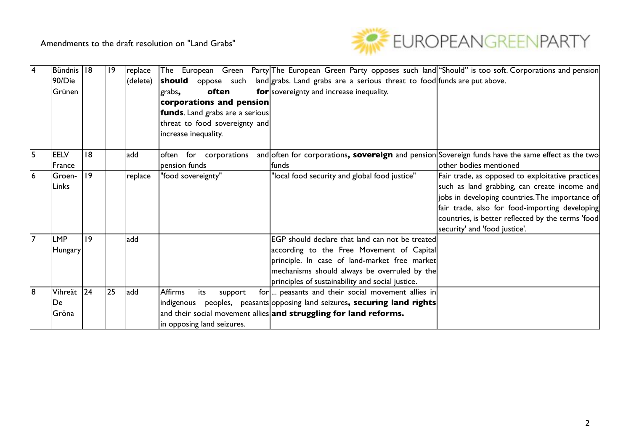

| $\overline{4}$ | Bündnis   18 |              | 9  | replace  |                            |     |       |                                         |                                                                   |  | The European Green Party The European Green Party opposes such land "Should" is too soft. Corporations and pension |                                                   |  |  |
|----------------|--------------|--------------|----|----------|----------------------------|-----|-------|-----------------------------------------|-------------------------------------------------------------------|--|--------------------------------------------------------------------------------------------------------------------|---------------------------------------------------|--|--|
|                | 90/Die       |              |    | (delete) | should                     |     |       |                                         |                                                                   |  | oppose such land grabs. Land grabs are a serious threat to food funds are put above.                               |                                                   |  |  |
|                | Grünen       |              |    |          | grabs,                     |     | often |                                         | for sovereignty and increase inequality.                          |  |                                                                                                                    |                                                   |  |  |
|                |              |              |    |          |                            |     |       | corporations and pension                |                                                                   |  |                                                                                                                    |                                                   |  |  |
|                |              |              |    |          |                            |     |       | <b>funds</b> . Land grabs are a serious |                                                                   |  |                                                                                                                    |                                                   |  |  |
|                |              |              |    |          |                            |     |       | threat to food sovereignty and          |                                                                   |  |                                                                                                                    |                                                   |  |  |
|                |              |              |    |          | increase inequality.       |     |       |                                         |                                                                   |  |                                                                                                                    |                                                   |  |  |
|                |              |              |    |          |                            |     |       |                                         |                                                                   |  |                                                                                                                    |                                                   |  |  |
| $\overline{5}$ | <b>EELV</b>  | 18           |    | add      |                            |     |       | often for corporations                  |                                                                   |  | and often for corporations, sovereign and pension Sovereign funds have the same effect as the two                  |                                                   |  |  |
|                | France       |              |    |          | pension funds              |     |       |                                         | <b>funds</b>                                                      |  |                                                                                                                    | other bodies mentioned                            |  |  |
| $\overline{6}$ | Groen-       | $ 9\rangle$  |    | replace  | "food sovereignty"         |     |       |                                         | "local food security and global food justice"                     |  |                                                                                                                    | Fair trade, as opposed to exploitative practices  |  |  |
|                | Links        |              |    |          |                            |     |       |                                         |                                                                   |  |                                                                                                                    | such as land grabbing, can create income and      |  |  |
|                |              |              |    |          |                            |     |       |                                         |                                                                   |  |                                                                                                                    | jobs in developing countries. The importance of   |  |  |
|                |              |              |    |          |                            |     |       |                                         |                                                                   |  |                                                                                                                    | fair trade, also for food-importing developing    |  |  |
|                |              |              |    |          |                            |     |       |                                         |                                                                   |  |                                                                                                                    | countries, is better reflected by the terms 'food |  |  |
|                |              |              |    |          |                            |     |       |                                         |                                                                   |  |                                                                                                                    | security' and 'food justice'.                     |  |  |
| $\overline{7}$ | <b>LMP</b>   | 9            |    | add      |                            |     |       |                                         |                                                                   |  | EGP should declare that land can not be treated                                                                    |                                                   |  |  |
|                | Hungary      |              |    |          |                            |     |       |                                         |                                                                   |  | according to the Free Movement of Capital                                                                          |                                                   |  |  |
|                |              |              |    |          |                            |     |       |                                         |                                                                   |  | principle. In case of land-market free market                                                                      |                                                   |  |  |
|                |              |              |    |          |                            |     |       |                                         |                                                                   |  | mechanisms should always be overruled by the                                                                       |                                                   |  |  |
|                |              |              |    |          |                            |     |       |                                         | principles of sustainability and social justice.                  |  |                                                                                                                    |                                                   |  |  |
| 8l             | Vihreät      | $ 24\rangle$ | 25 | add      | <b>Affirms</b>             | its |       | support                                 |                                                                   |  | for  peasants and their social movement allies in                                                                  |                                                   |  |  |
|                | De           |              |    |          |                            |     |       |                                         |                                                                   |  | indigenous peoples, peasants opposing land seizures, securing land rights                                          |                                                   |  |  |
|                | Gröna        |              |    |          |                            |     |       |                                         | and their social movement allies and struggling for land reforms. |  |                                                                                                                    |                                                   |  |  |
|                |              |              |    |          | in opposing land seizures. |     |       |                                         |                                                                   |  |                                                                                                                    |                                                   |  |  |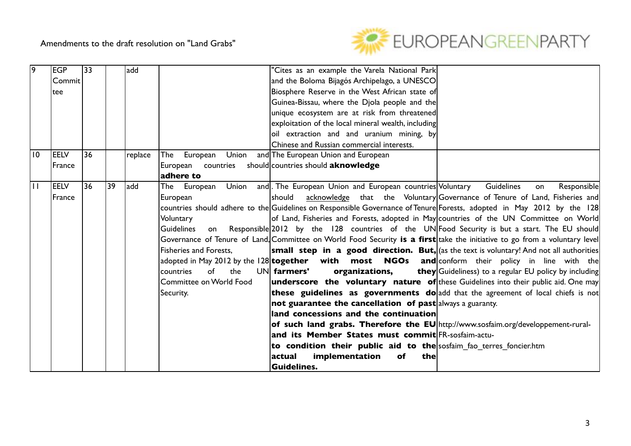

| $\overline{9}$  | <b>EGP</b>    | 33 |    | add     |                          | 'Cites as an example the Varela National Park                                                                              |                                                                            |
|-----------------|---------------|----|----|---------|--------------------------|----------------------------------------------------------------------------------------------------------------------------|----------------------------------------------------------------------------|
|                 | Commit        |    |    |         |                          | and the Boloma Bijagós Archipelago, a UNESCO                                                                               |                                                                            |
|                 | ltee          |    |    |         |                          | Biosphere Reserve in the West African state of                                                                             |                                                                            |
|                 |               |    |    |         |                          | Guinea-Bissau, where the Djola people and the                                                                              |                                                                            |
|                 |               |    |    |         |                          | unique ecosystem are at risk from threatened                                                                               |                                                                            |
|                 |               |    |    |         |                          | exploitation of the local mineral wealth, including                                                                        |                                                                            |
|                 |               |    |    |         |                          | oil extraction and and uranium mining, by                                                                                  |                                                                            |
|                 |               |    |    |         |                          | Chinese and Russian commercial interests.                                                                                  |                                                                            |
| $\overline{10}$ | <b>IEELV</b>  | 36 |    | replace | Union<br>European<br>The | and The European Union and European                                                                                        |                                                                            |
|                 | <b>France</b> |    |    |         | European countries       | should countries should aknowledge                                                                                         |                                                                            |
|                 |               |    |    |         | adhere to                |                                                                                                                            |                                                                            |
| $\overline{11}$ | <b>IEELV</b>  | 36 | 39 | add     |                          | The European Union and The European Union and European countries Voluntary                                                 | Guidelines<br>Responsible<br>on                                            |
|                 | France        |    |    |         | European                 | should                                                                                                                     | acknowledge that the Voluntary Governance of Tenure of Land, Fisheries and |
|                 |               |    |    |         |                          | countries should adhere to the Guidelines on Responsible Governance of Tenure Forests, adopted in May 2012 by the 128      |                                                                            |
|                 |               |    |    |         | Voluntary                | of Land, Fisheries and Forests, adopted in May countries of the UN Committee on World                                      |                                                                            |
|                 |               |    |    |         | Guidelines<br>on         | Responsible 2012 by the 128 countries of the UN Food Security is but a start. The EU should                                |                                                                            |
|                 |               |    |    |         |                          | Governance of Tenure of Land, Committee on World Food Security is a first take the initiative to go from a voluntary level |                                                                            |
|                 |               |    |    |         | Fisheries and Forests,   | <b>small step in a good direction. But,</b> (as the text is voluntary! And not all authorities                             |                                                                            |
|                 |               |    |    |         |                          | adopted in May 2012 by the 128 <b>together</b> with most NGOs and conform their policy in line with the                    |                                                                            |
|                 |               |    |    |         | the<br>countries<br>of   | UN farmers'<br>organizations,                                                                                              | <b>they</b> Guideliness) to a regular EU policy by including               |
|                 |               |    |    |         | Committee on World Food  | <b>underscore the voluntary nature of</b> these Guidelines into their public aid. One may                                  |                                                                            |
|                 |               |    |    |         | Security.                | these guidelines as governments do add that the agreement of local chiefs is not                                           |                                                                            |
|                 |               |    |    |         |                          | not guarantee the cancellation of past always a guaranty.                                                                  |                                                                            |
|                 |               |    |    |         |                          | land concessions and the continuation                                                                                      |                                                                            |
|                 |               |    |    |         |                          | of such land grabs. Therefore the EU http://www.sosfaim.org/developpement-rural-                                           |                                                                            |
|                 |               |    |    |         |                          | and its Member States must commit FR-sosfaim-actu-                                                                         |                                                                            |
|                 |               |    |    |         |                          | to condition their public aid to the sosfaim fao terres foncier.htm                                                        |                                                                            |
|                 |               |    |    |         |                          | implementation<br>actual<br>of<br>the                                                                                      |                                                                            |
|                 |               |    |    |         |                          | <b>Guidelines.</b>                                                                                                         |                                                                            |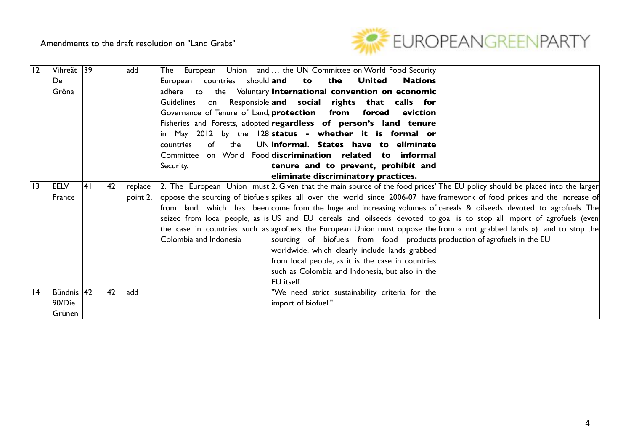

| II <sub>2</sub> | Vihreät 39  |     |     | add      | The European Union and   the UN Committee on World Food Security                                                              |
|-----------------|-------------|-----|-----|----------|-------------------------------------------------------------------------------------------------------------------------------|
|                 | De          |     |     |          | European countries should and<br>the<br><b>Nations</b><br>to<br><b>United</b>                                                 |
|                 | Gröna       |     |     |          | the Voluntary International convention on economic<br>ladhere to                                                              |
|                 |             |     |     |          | Guidelines<br>Responsible and social rights that calls for<br>on                                                              |
|                 |             |     |     |          | Governance of Tenure of Land, <b>protection</b> from<br>forced<br>eviction                                                    |
|                 |             |     |     |          | Fisheries and Forests, adopted regardless of person's land tenure                                                             |
|                 |             |     |     |          | in May 2012 by the 128 status - whether it is formal or                                                                       |
|                 |             |     |     |          | UNinformal. States have to eliminate<br>of<br>the<br>countries                                                                |
|                 |             |     |     |          | Committee on World Food discrimination related to informal                                                                    |
|                 |             |     |     |          | tenure and to prevent, prohibit and<br>Security.                                                                              |
|                 |             |     |     |          | eliminate discriminatory practices.                                                                                           |
| $\overline{13}$ | <b>EELV</b> | 141 | 142 | replace  | [2. The European Union must] 2. Given that the main source of the food prices' The EU policy should be placed into the larger |
|                 | France      |     |     | point 2. | oppose the sourcing of biofuels spikes all over the world since 2006-07 have framework of food prices and the increase of     |
|                 |             |     |     |          | from land, which has been come from the huge and increasing volumes of cereals & oilseeds devoted to agrofuels. The           |
|                 |             |     |     |          | seized from local people, as is US and EU cereals and oilseeds devoted to goal is to stop all import of agrofuels (even       |
|                 |             |     |     |          | the case in countries such as agrofuels, the European Union must oppose the from « not grabbed lands ») and to stop the       |
|                 |             |     |     |          | Colombia and Indonesia<br>sourcing of biofuels from food products production of agrofuels in the EU                           |
|                 |             |     |     |          | worldwide, which clearly include lands grabbed                                                                                |
|                 |             |     |     |          | from local people, as it is the case in countries                                                                             |
|                 |             |     |     |          | such as Colombia and Indonesia, but also in the                                                                               |
|                 |             |     |     |          | IEU itself.                                                                                                                   |
| 4               | Bündnis 42  |     | 42  | add      | "We need strict sustainability criteria for the                                                                               |
|                 | 90/Die      |     |     |          | import of biofuel."                                                                                                           |
|                 | Grünen      |     |     |          |                                                                                                                               |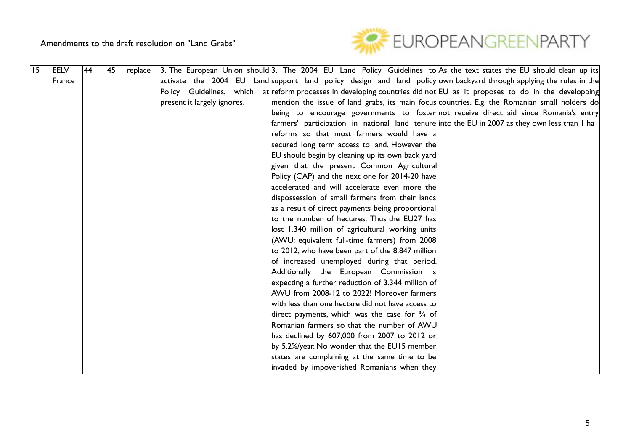

| 15 | <b>EELV</b> | 44 | 45 | replace | [3. The European Union should] 3. The 2004 EU Land Policy Guidelines to As the text states the EU should clean up its        |
|----|-------------|----|----|---------|------------------------------------------------------------------------------------------------------------------------------|
|    | France      |    |    |         | activate the 2004 EU Land support land policy design and land policy own backyard through applying the rules in the          |
|    |             |    |    |         | Policy Guidelines, which at reform processes in developing countries did not EU as it proposes to do in the developping      |
|    |             |    |    |         | present it largely ignores.<br>mention the issue of land grabs, its main focus countries. E.g. the Romanian small holders do |
|    |             |    |    |         | being to encourage governments to foster not receive direct aid since Romania's entry                                        |
|    |             |    |    |         | farmers' participation in national land tenure into the EU in 2007 as they own less than I ha                                |
|    |             |    |    |         | reforms so that most farmers would have a                                                                                    |
|    |             |    |    |         | secured long term access to land. However the                                                                                |
|    |             |    |    |         | EU should begin by cleaning up its own back yard                                                                             |
|    |             |    |    |         | given that the present Common Agricultural                                                                                   |
|    |             |    |    |         | Policy (CAP) and the next one for 2014-20 have                                                                               |
|    |             |    |    |         | accelerated and will accelerate even more the                                                                                |
|    |             |    |    |         | dispossession of small farmers from their lands                                                                              |
|    |             |    |    |         | as a result of direct payments being proportional                                                                            |
|    |             |    |    |         | to the number of hectares. Thus the EU27 has                                                                                 |
|    |             |    |    |         | lost 1.340 million of agricultural working units                                                                             |
|    |             |    |    |         | (AWU: equivalent full-time farmers) from 2008                                                                                |
|    |             |    |    |         | to 2012, who have been part of the 8.847 million                                                                             |
|    |             |    |    |         | of increased unemployed during that period.                                                                                  |
|    |             |    |    |         | Additionally the European Commission is                                                                                      |
|    |             |    |    |         | expecting a further reduction of 3.344 million of                                                                            |
|    |             |    |    |         | AWU from 2008-12 to 2022! Moreover farmers                                                                                   |
|    |             |    |    |         | with less than one hectare did not have access to                                                                            |
|    |             |    |    |         | direct payments, which was the case for $\frac{3}{4}$ of                                                                     |
|    |             |    |    |         | Romanian farmers so that the number of AWU                                                                                   |
|    |             |    |    |         | has declined by 607,000 from 2007 to 2012 or                                                                                 |
|    |             |    |    |         | by 5.2%/year. No wonder that the EU15 member                                                                                 |
|    |             |    |    |         | states are complaining at the same time to be                                                                                |
|    |             |    |    |         | invaded by impoverished Romanians when they                                                                                  |

are themselves the main grabbers of Romanian